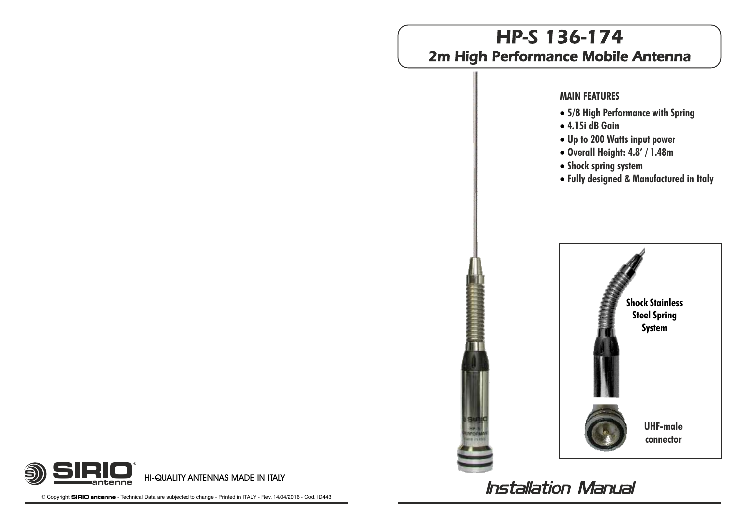# HP-S 136-174 2m High Performance Mobile Antenna

#### **MAIN FEATURES**

- · **5/8 High Performance with Spring**
- · **4.15i dB Gain**
- · **Up to 200 Watts input power**
- · **Overall Height: 4.8' / 1.48m**
- · **Shock spring system**
- · **Fully designed & Manufactured in Italy**



**HI-QUALITY ANTENNAS MADE IN ITALY antenne**

B Copyright **SIRIO antenne** - Technical Data are subjected to change - Printed in ITALY - Rev. 14/04/2016 - Cod. ID443

S)) <del>—</del>